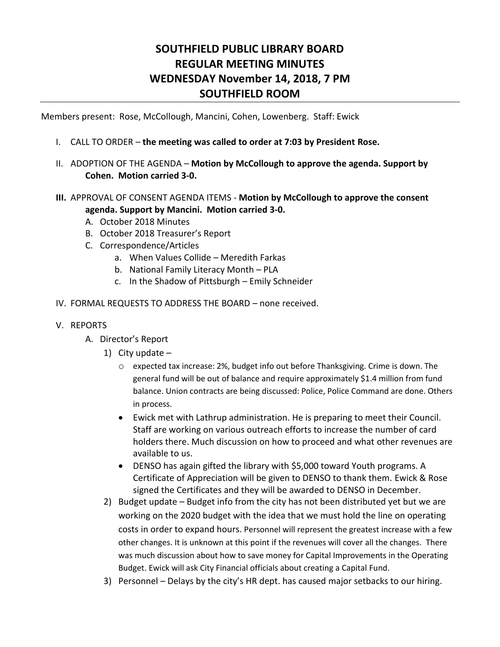## **SOUTHFIELD PUBLIC LIBRARY BOARD REGULAR MEETING MINUTES WEDNESDAY November 14, 2018, 7 PM SOUTHFIELD ROOM**

Members present: Rose, McCollough, Mancini, Cohen, Lowenberg. Staff: Ewick

- I. CALL TO ORDER **the meeting was called to order at 7:03 by President Rose.**
- II. ADOPTION OF THE AGENDA **Motion by McCollough to approve the agenda. Support by Cohen. Motion carried 3-0.**
- **III.** APPROVAL OF CONSENT AGENDA ITEMS **Motion by McCollough to approve the consent agenda. Support by Mancini. Motion carried 3-0.**
	- A. October 2018 Minutes
	- B. October 2018 Treasurer's Report
	- C. Correspondence/Articles
		- a. When Values Collide Meredith Farkas
		- b. National Family Literacy Month PLA
		- c. In the Shadow of Pittsburgh Emily Schneider
- IV. FORMAL REQUESTS TO ADDRESS THE BOARD none received.
- V. REPORTS
	- A. Director's Report
		- 1) City update
			- o expected tax increase: 2%, budget info out before Thanksgiving. Crime is down. The general fund will be out of balance and require approximately \$1.4 million from fund balance. Union contracts are being discussed: Police, Police Command are done. Others in process.
			- Ewick met with Lathrup administration. He is preparing to meet their Council. Staff are working on various outreach efforts to increase the number of card holders there. Much discussion on how to proceed and what other revenues are available to us.
			- DENSO has again gifted the library with \$5,000 toward Youth programs. A Certificate of Appreciation will be given to DENSO to thank them. Ewick & Rose signed the Certificates and they will be awarded to DENSO in December.
		- 2) Budget update Budget info from the city has not been distributed yet but we are working on the 2020 budget with the idea that we must hold the line on operating costs in order to expand hours. Personnel will represent the greatest increase with a few other changes. It is unknown at this point if the revenues will cover all the changes. There was much discussion about how to save money for Capital Improvements in the Operating Budget. Ewick will ask City Financial officials about creating a Capital Fund.
		- 3) Personnel Delays by the city's HR dept. has caused major setbacks to our hiring.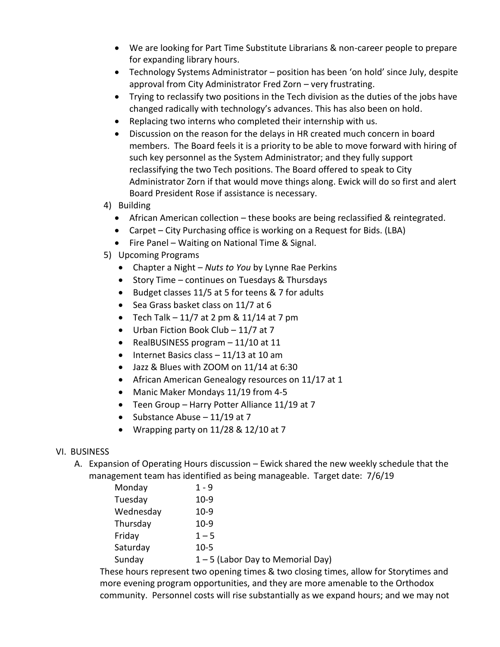- We are looking for Part Time Substitute Librarians & non-career people to prepare for expanding library hours.
- Technology Systems Administrator position has been 'on hold' since July, despite approval from City Administrator Fred Zorn – very frustrating.
- Trying to reclassify two positions in the Tech division as the duties of the jobs have changed radically with technology's advances. This has also been on hold.
- Replacing two interns who completed their internship with us.
- Discussion on the reason for the delays in HR created much concern in board members. The Board feels it is a priority to be able to move forward with hiring of such key personnel as the System Administrator; and they fully support reclassifying the two Tech positions. The Board offered to speak to City Administrator Zorn if that would move things along. Ewick will do so first and alert Board President Rose if assistance is necessary.
- 4) Building
	- African American collection these books are being reclassified & reintegrated.
	- Carpet City Purchasing office is working on a Request for Bids. (LBA)
	- Fire Panel Waiting on National Time & Signal.
- 5) Upcoming Programs
	- Chapter a Night *Nuts to You* by Lynne Rae Perkins
	- Story Time continues on Tuesdays & Thursdays
	- Budget classes 11/5 at 5 for teens & 7 for adults
	- Sea Grass basket class on 11/7 at 6
	- Tech Talk 11/7 at 2 pm & 11/14 at 7 pm
	- Urban Fiction Book Club 11/7 at 7
	- RealBUSINESS program  $-11/10$  at 11
	- $\bullet$  Internet Basics class  $-11/13$  at 10 am
	- Jazz & Blues with ZOOM on 11/14 at 6:30
	- African American Genealogy resources on 11/17 at 1
	- Manic Maker Mondays 11/19 from 4-5
	- Teen Group Harry Potter Alliance 11/19 at 7
	- Substance Abuse  $-11/19$  at 7
	- Wrapping party on 11/28 & 12/10 at 7
- VI. BUSINESS
	- A. Expansion of Operating Hours discussion Ewick shared the new weekly schedule that the management team has identified as being manageable. Target date: 7/6/19

| Monday    | $1 - 9$                             |
|-----------|-------------------------------------|
| Tuesday   | $10 - 9$                            |
| Wednesday | $10-9$                              |
| Thursday  | $10-9$                              |
| Friday    | $1 - 5$                             |
| Saturday  | $10-5$                              |
| Sunday    | $1 - 5$ (Labor Day to Memorial Day) |

These hours represent two opening times & two closing times, allow for Storytimes and more evening program opportunities, and they are more amenable to the Orthodox community. Personnel costs will rise substantially as we expand hours; and we may not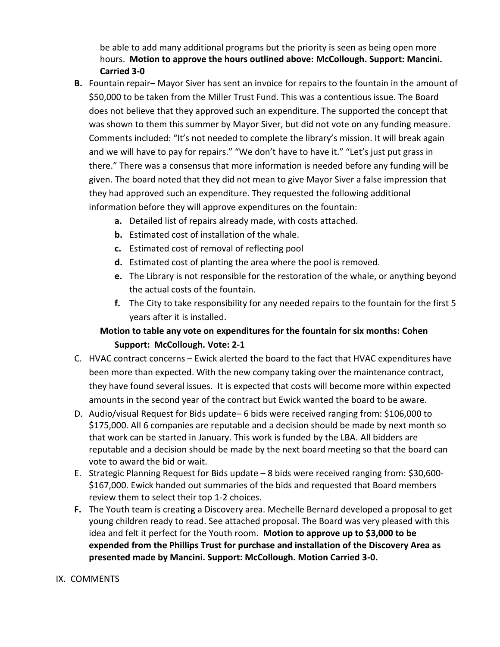be able to add many additional programs but the priority is seen as being open more hours. **Motion to approve the hours outlined above: McCollough. Support: Mancini. Carried 3-0**

- **B.** Fountain repair– Mayor Siver has sent an invoice for repairs to the fountain in the amount of \$50,000 to be taken from the Miller Trust Fund. This was a contentious issue. The Board does not believe that they approved such an expenditure. The supported the concept that was shown to them this summer by Mayor Siver, but did not vote on any funding measure. Comments included: "It's not needed to complete the library's mission. It will break again and we will have to pay for repairs." "We don't have to have it." "Let's just put grass in there." There was a consensus that more information is needed before any funding will be given. The board noted that they did not mean to give Mayor Siver a false impression that they had approved such an expenditure. They requested the following additional information before they will approve expenditures on the fountain:
	- **a.** Detailed list of repairs already made, with costs attached.
	- **b.** Estimated cost of installation of the whale.
	- **c.** Estimated cost of removal of reflecting pool
	- **d.** Estimated cost of planting the area where the pool is removed.
	- **e.** The Library is not responsible for the restoration of the whale, or anything beyond the actual costs of the fountain.
	- **f.** The City to take responsibility for any needed repairs to the fountain for the first 5 years after it is installed.

## **Motion to table any vote on expenditures for the fountain for six months: Cohen Support: McCollough. Vote: 2-1**

- C. HVAC contract concerns Ewick alerted the board to the fact that HVAC expenditures have been more than expected. With the new company taking over the maintenance contract, they have found several issues. It is expected that costs will become more within expected amounts in the second year of the contract but Ewick wanted the board to be aware.
- D. Audio/visual Request for Bids update– 6 bids were received ranging from: \$106,000 to \$175,000. All 6 companies are reputable and a decision should be made by next month so that work can be started in January. This work is funded by the LBA. All bidders are reputable and a decision should be made by the next board meeting so that the board can vote to award the bid or wait.
- E. Strategic Planning Request for Bids update 8 bids were received ranging from: \$30,600- \$167,000. Ewick handed out summaries of the bids and requested that Board members review them to select their top 1-2 choices.
- **F.** The Youth team is creating a Discovery area. Mechelle Bernard developed a proposal to get young children ready to read. See attached proposal. The Board was very pleased with this idea and felt it perfect for the Youth room. **Motion to approve up to \$3,000 to be expended from the Phillips Trust for purchase and installation of the Discovery Area as presented made by Mancini. Support: McCollough. Motion Carried 3-0.**

## IX. COMMENTS